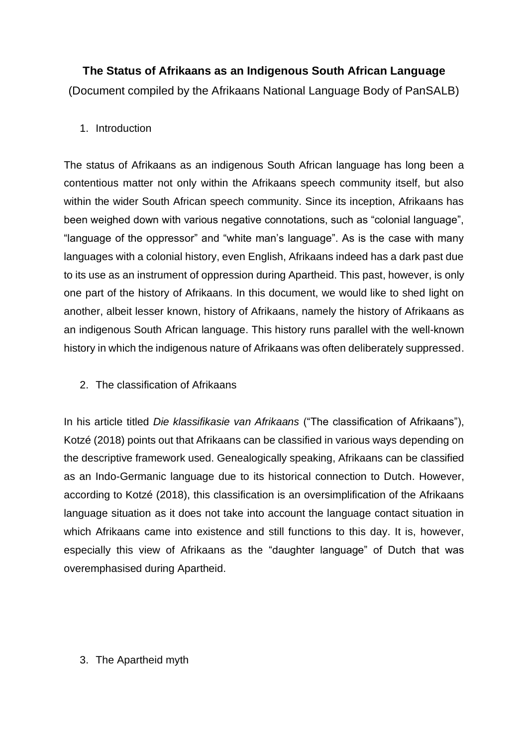**The Status of Afrikaans as an Indigenous South African Language** (Document compiled by the Afrikaans National Language Body of PanSALB)

# 1. Introduction

The status of Afrikaans as an indigenous South African language has long been a contentious matter not only within the Afrikaans speech community itself, but also within the wider South African speech community. Since its inception, Afrikaans has been weighed down with various negative connotations, such as "colonial language", "language of the oppressor" and "white man's language". As is the case with many languages with a colonial history, even English, Afrikaans indeed has a dark past due to its use as an instrument of oppression during Apartheid. This past, however, is only one part of the history of Afrikaans. In this document, we would like to shed light on another, albeit lesser known, history of Afrikaans, namely the history of Afrikaans as an indigenous South African language. This history runs parallel with the well-known history in which the indigenous nature of Afrikaans was often deliberately suppressed.

# 2. The classification of Afrikaans

In his article titled *Die klassifikasie van Afrikaans* ("The classification of Afrikaans"), Kotzé (2018) points out that Afrikaans can be classified in various ways depending on the descriptive framework used. Genealogically speaking, Afrikaans can be classified as an Indo-Germanic language due to its historical connection to Dutch. However, according to Kotzé (2018), this classification is an oversimplification of the Afrikaans language situation as it does not take into account the language contact situation in which Afrikaans came into existence and still functions to this day. It is, however, especially this view of Afrikaans as the "daughter language" of Dutch that was overemphasised during Apartheid.

# 3. The Apartheid myth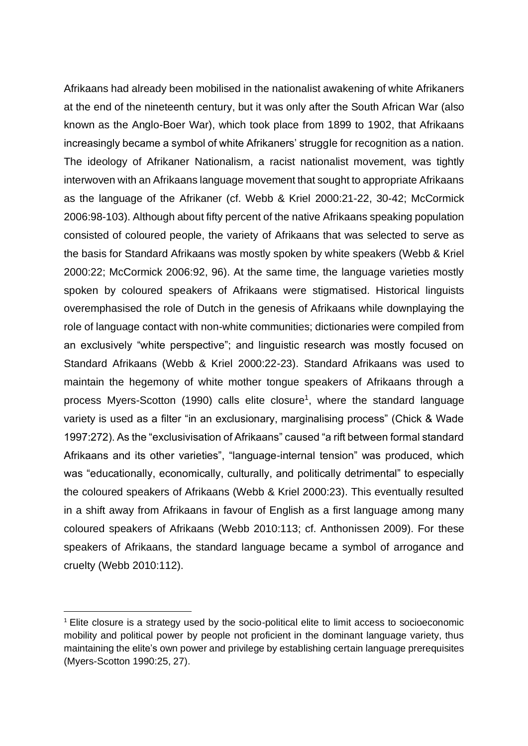Afrikaans had already been mobilised in the nationalist awakening of white Afrikaners at the end of the nineteenth century, but it was only after the South African War (also known as the Anglo-Boer War), which took place from 1899 to 1902, that Afrikaans increasingly became a symbol of white Afrikaners' struggle for recognition as a nation. The ideology of Afrikaner Nationalism, a racist nationalist movement, was tightly interwoven with an Afrikaans language movement that sought to appropriate Afrikaans as the language of the Afrikaner (cf. Webb & Kriel 2000:21-22, 30-42; McCormick 2006:98-103). Although about fifty percent of the native Afrikaans speaking population consisted of coloured people, the variety of Afrikaans that was selected to serve as the basis for Standard Afrikaans was mostly spoken by white speakers (Webb & Kriel 2000:22; McCormick 2006:92, 96). At the same time, the language varieties mostly spoken by coloured speakers of Afrikaans were stigmatised. Historical linguists overemphasised the role of Dutch in the genesis of Afrikaans while downplaying the role of language contact with non-white communities; dictionaries were compiled from an exclusively "white perspective"; and linguistic research was mostly focused on Standard Afrikaans (Webb & Kriel 2000:22-23). Standard Afrikaans was used to maintain the hegemony of white mother tongue speakers of Afrikaans through a process Myers-Scotton (1990) calls elite closure<sup>1</sup>, where the standard language variety is used as a filter "in an exclusionary, marginalising process" (Chick & Wade 1997:272). As the "exclusivisation of Afrikaans" caused "a rift between formal standard Afrikaans and its other varieties", "language-internal tension" was produced, which was "educationally, economically, culturally, and politically detrimental" to especially the coloured speakers of Afrikaans (Webb & Kriel 2000:23). This eventually resulted in a shift away from Afrikaans in favour of English as a first language among many coloured speakers of Afrikaans (Webb 2010:113; cf. Anthonissen 2009). For these speakers of Afrikaans, the standard language became a symbol of arrogance and cruelty (Webb 2010:112).

<sup>&</sup>lt;sup>1</sup> Elite closure is a strategy used by the socio-political elite to limit access to socioeconomic mobility and political power by people not proficient in the dominant language variety, thus maintaining the elite's own power and privilege by establishing certain language prerequisites (Myers-Scotton 1990:25, 27).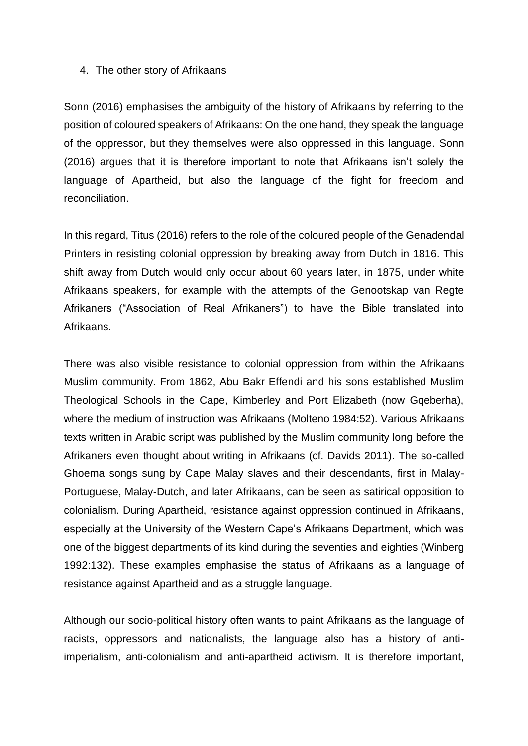### 4. The other story of Afrikaans

Sonn (2016) emphasises the ambiguity of the history of Afrikaans by referring to the position of coloured speakers of Afrikaans: On the one hand, they speak the language of the oppressor, but they themselves were also oppressed in this language. Sonn (2016) argues that it is therefore important to note that Afrikaans isn't solely the language of Apartheid, but also the language of the fight for freedom and reconciliation.

In this regard, Titus (2016) refers to the role of the coloured people of the Genadendal Printers in resisting colonial oppression by breaking away from Dutch in 1816. This shift away from Dutch would only occur about 60 years later, in 1875, under white Afrikaans speakers, for example with the attempts of the Genootskap van Regte Afrikaners ("Association of Real Afrikaners") to have the Bible translated into Afrikaans.

There was also visible resistance to colonial oppression from within the Afrikaans Muslim community. From 1862, Abu Bakr Effendi and his sons established Muslim Theological Schools in the Cape, Kimberley and Port Elizabeth (now Gqeberha), where the medium of instruction was Afrikaans (Molteno 1984:52). Various Afrikaans texts written in Arabic script was published by the Muslim community long before the Afrikaners even thought about writing in Afrikaans (cf. Davids 2011). The so-called Ghoema songs sung by Cape Malay slaves and their descendants, first in Malay-Portuguese, Malay-Dutch, and later Afrikaans, can be seen as satirical opposition to colonialism. During Apartheid, resistance against oppression continued in Afrikaans, especially at the University of the Western Cape's Afrikaans Department, which was one of the biggest departments of its kind during the seventies and eighties (Winberg 1992:132). These examples emphasise the status of Afrikaans as a language of resistance against Apartheid and as a struggle language.

Although our socio-political history often wants to paint Afrikaans as the language of racists, oppressors and nationalists, the language also has a history of antiimperialism, anti-colonialism and anti-apartheid activism. It is therefore important,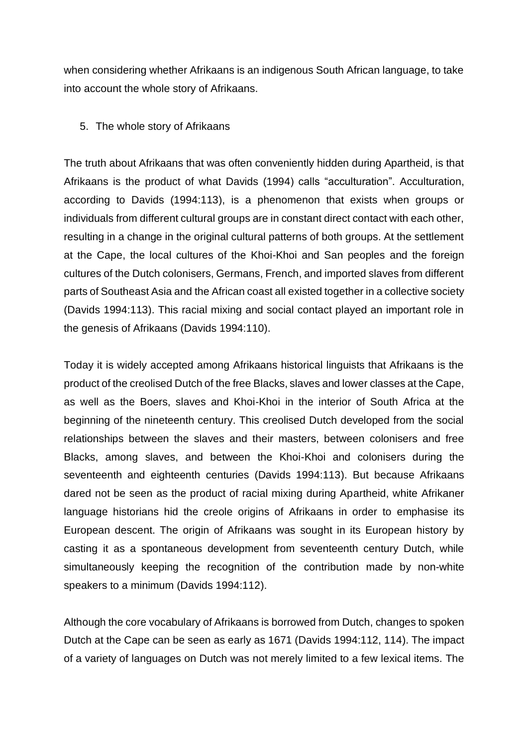when considering whether Afrikaans is an indigenous South African language, to take into account the whole story of Afrikaans.

### 5. The whole story of Afrikaans

The truth about Afrikaans that was often conveniently hidden during Apartheid, is that Afrikaans is the product of what Davids (1994) calls "acculturation". Acculturation, according to Davids (1994:113), is a phenomenon that exists when groups or individuals from different cultural groups are in constant direct contact with each other, resulting in a change in the original cultural patterns of both groups. At the settlement at the Cape, the local cultures of the Khoi-Khoi and San peoples and the foreign cultures of the Dutch colonisers, Germans, French, and imported slaves from different parts of Southeast Asia and the African coast all existed together in a collective society (Davids 1994:113). This racial mixing and social contact played an important role in the genesis of Afrikaans (Davids 1994:110).

Today it is widely accepted among Afrikaans historical linguists that Afrikaans is the product of the creolised Dutch of the free Blacks, slaves and lower classes at the Cape, as well as the Boers, slaves and Khoi-Khoi in the interior of South Africa at the beginning of the nineteenth century. This creolised Dutch developed from the social relationships between the slaves and their masters, between colonisers and free Blacks, among slaves, and between the Khoi-Khoi and colonisers during the seventeenth and eighteenth centuries (Davids 1994:113). But because Afrikaans dared not be seen as the product of racial mixing during Apartheid, white Afrikaner language historians hid the creole origins of Afrikaans in order to emphasise its European descent. The origin of Afrikaans was sought in its European history by casting it as a spontaneous development from seventeenth century Dutch, while simultaneously keeping the recognition of the contribution made by non-white speakers to a minimum (Davids 1994:112).

Although the core vocabulary of Afrikaans is borrowed from Dutch, changes to spoken Dutch at the Cape can be seen as early as 1671 (Davids 1994:112, 114). The impact of a variety of languages on Dutch was not merely limited to a few lexical items. The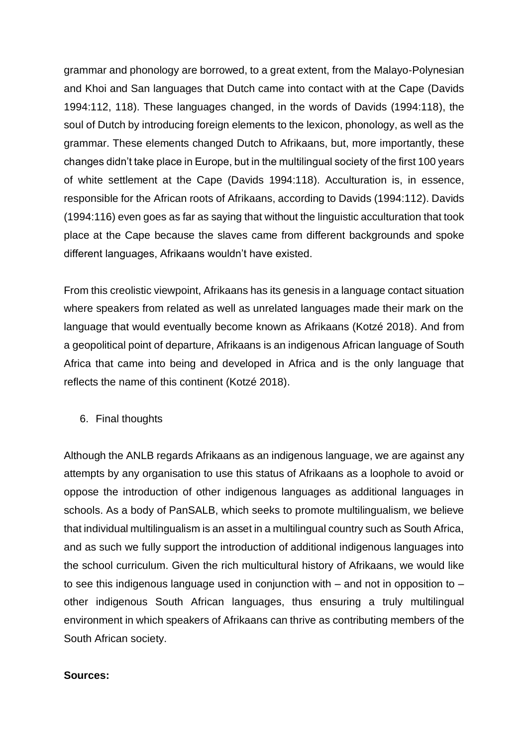grammar and phonology are borrowed, to a great extent, from the Malayo-Polynesian and Khoi and San languages that Dutch came into contact with at the Cape (Davids 1994:112, 118). These languages changed, in the words of Davids (1994:118), the soul of Dutch by introducing foreign elements to the lexicon, phonology, as well as the grammar. These elements changed Dutch to Afrikaans, but, more importantly, these changes didn't take place in Europe, but in the multilingual society of the first 100 years of white settlement at the Cape (Davids 1994:118). Acculturation is, in essence, responsible for the African roots of Afrikaans, according to Davids (1994:112). Davids (1994:116) even goes as far as saying that without the linguistic acculturation that took place at the Cape because the slaves came from different backgrounds and spoke different languages, Afrikaans wouldn't have existed.

From this creolistic viewpoint, Afrikaans has its genesis in a language contact situation where speakers from related as well as unrelated languages made their mark on the language that would eventually become known as Afrikaans (Kotzé 2018). And from a geopolitical point of departure, Afrikaans is an indigenous African language of South Africa that came into being and developed in Africa and is the only language that reflects the name of this continent (Kotzé 2018).

6. Final thoughts

Although the ANLB regards Afrikaans as an indigenous language, we are against any attempts by any organisation to use this status of Afrikaans as a loophole to avoid or oppose the introduction of other indigenous languages as additional languages in schools. As a body of PanSALB, which seeks to promote multilingualism, we believe that individual multilingualism is an asset in a multilingual country such as South Africa, and as such we fully support the introduction of additional indigenous languages into the school curriculum. Given the rich multicultural history of Afrikaans, we would like to see this indigenous language used in conjunction with – and not in opposition to – other indigenous South African languages, thus ensuring a truly multilingual environment in which speakers of Afrikaans can thrive as contributing members of the South African society.

### **Sources:**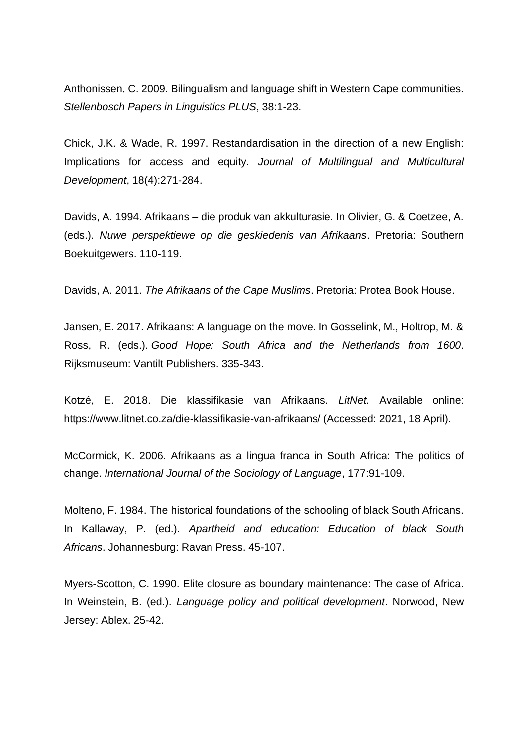Anthonissen, C. 2009. Bilingualism and language shift in Western Cape communities. *Stellenbosch Papers in Linguistics PLUS*, 38:1-23.

Chick, J.K. & Wade, R. 1997. Restandardisation in the direction of a new English: Implications for access and equity. *Journal of Multilingual and Multicultural Development*, 18(4):271-284.

Davids, A. 1994. Afrikaans – die produk van akkulturasie. In Olivier, G. & Coetzee, A. (eds.). *Nuwe perspektiewe op die geskiedenis van Afrikaans*. Pretoria: Southern Boekuitgewers. 110-119.

Davids, A. 2011. *The Afrikaans of the Cape Muslims*. Pretoria: Protea Book House.

Jansen, E. 2017. Afrikaans: A language on the move. In Gosselink, M., Holtrop, M. & Ross, R. (eds.). *Good Hope: South Africa and the Netherlands from 1600*. Rijksmuseum: Vantilt Publishers. 335-343.

Kotzé, E. 2018. Die klassifikasie van Afrikaans. *LitNet.* Available online: https://www.litnet.co.za/die-klassifikasie-van-afrikaans/ (Accessed: 2021, 18 April).

McCormick, K. 2006. Afrikaans as a lingua franca in South Africa: The politics of change. *International Journal of the Sociology of Language*, 177:91-109.

Molteno, F. 1984. The historical foundations of the schooling of black South Africans. In Kallaway, P. (ed.). *Apartheid and education: Education of black South Africans*. Johannesburg: Ravan Press. 45-107.

Myers-Scotton, C. 1990. Elite closure as boundary maintenance: The case of Africa. In Weinstein, B. (ed.). *Language policy and political development*. Norwood, New Jersey: Ablex. 25-42.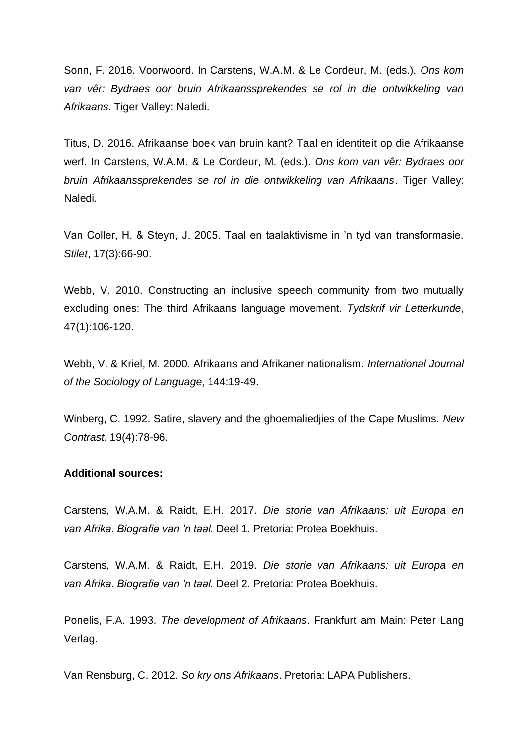Sonn, F. 2016. Voorwoord. In Carstens, W.A.M. & Le Cordeur, M. (eds.). *Ons kom van vêr: Bydraes oor bruin Afrikaanssprekendes se rol in die ontwikkeling van Afrikaans*. Tiger Valley: Naledi.

Titus, D. 2016. Afrikaanse boek van bruin kant? Taal en identiteit op die Afrikaanse werf. In Carstens, W.A.M. & Le Cordeur, M. (eds.). *Ons kom van vêr: Bydraes oor bruin Afrikaanssprekendes se rol in die ontwikkeling van Afrikaans*. Tiger Valley: Naledi.

Van Coller, H. & Steyn, J. 2005. Taal en taalaktivisme in 'n tyd van transformasie. *Stilet*, 17(3):66-90.

Webb, V. 2010. Constructing an inclusive speech community from two mutually excluding ones: The third Afrikaans language movement. *Tydskrif vir Letterkunde*, 47(1):106-120.

Webb, V. & Kriel, M. 2000. Afrikaans and Afrikaner nationalism. *International Journal of the Sociology of Language*, 144:19-49.

Winberg, C. 1992. Satire, slavery and the ghoemaliedjies of the Cape Muslims. *New Contrast*, 19(4):78-96.

#### **Additional sources:**

Carstens, W.A.M. & Raidt, E.H. 2017. *Die storie van Afrikaans: uit Europa en van Afrika. Biografie van 'n taal.* Deel 1*.* Pretoria: Protea Boekhuis.

Carstens, W.A.M. & Raidt, E.H. 2019. *Die storie van Afrikaans: uit Europa en van Afrika. Biografie van 'n taal.* Deel 2*.* Pretoria: Protea Boekhuis.

Ponelis, F.A. 1993. *The development of Afrikaans*. Frankfurt am Main: Peter Lang Verlag.

Van Rensburg, C. 2012. *So kry ons Afrikaans*. Pretoria: LAPA Publishers.